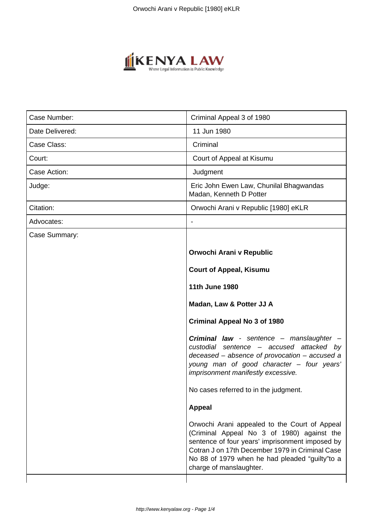

| Case Number:    | Criminal Appeal 3 of 1980                                                                                                                                                                                                                                                       |
|-----------------|---------------------------------------------------------------------------------------------------------------------------------------------------------------------------------------------------------------------------------------------------------------------------------|
| Date Delivered: | 11 Jun 1980                                                                                                                                                                                                                                                                     |
| Case Class:     | Criminal                                                                                                                                                                                                                                                                        |
| Court:          | Court of Appeal at Kisumu                                                                                                                                                                                                                                                       |
| Case Action:    | Judgment                                                                                                                                                                                                                                                                        |
| Judge:          | Eric John Ewen Law, Chunilal Bhagwandas<br>Madan, Kenneth D Potter                                                                                                                                                                                                              |
| Citation:       | Orwochi Arani v Republic [1980] eKLR                                                                                                                                                                                                                                            |
| Advocates:      |                                                                                                                                                                                                                                                                                 |
| Case Summary:   |                                                                                                                                                                                                                                                                                 |
|                 | Orwochi Arani v Republic                                                                                                                                                                                                                                                        |
|                 | <b>Court of Appeal, Kisumu</b>                                                                                                                                                                                                                                                  |
|                 | <b>11th June 1980</b>                                                                                                                                                                                                                                                           |
|                 | Madan, Law & Potter JJ A                                                                                                                                                                                                                                                        |
|                 | <b>Criminal Appeal No 3 of 1980</b>                                                                                                                                                                                                                                             |
|                 | Criminal law - sentence - manslaughter -<br>custodial sentence - accused attacked by<br>deceased - absence of provocation - accused a<br>young man of good character - four years'<br>imprisonment manifestly excessive.                                                        |
|                 | No cases referred to in the judgment.                                                                                                                                                                                                                                           |
|                 | <b>Appeal</b>                                                                                                                                                                                                                                                                   |
|                 | Orwochi Arani appealed to the Court of Appeal<br>(Criminal Appeal No 3 of 1980) against the<br>sentence of four years' imprisonment imposed by<br>Cotran J on 17th December 1979 in Criminal Case<br>No 88 of 1979 when he had pleaded "guilty" to a<br>charge of manslaughter. |
|                 |                                                                                                                                                                                                                                                                                 |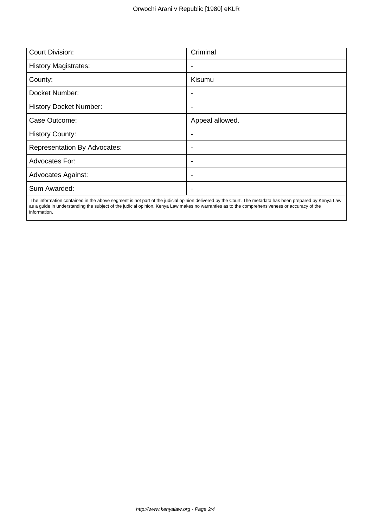| <b>Court Division:</b>              | Criminal                 |
|-------------------------------------|--------------------------|
| <b>History Magistrates:</b>         |                          |
| County:                             | Kisumu                   |
| Docket Number:                      | ٠                        |
| <b>History Docket Number:</b>       | ٠                        |
| Case Outcome:                       | Appeal allowed.          |
| <b>History County:</b>              | $\overline{\phantom{0}}$ |
| <b>Representation By Advocates:</b> | $\overline{\phantom{0}}$ |
| Advocates For:                      | $\blacksquare$           |
| <b>Advocates Against:</b>           |                          |
| Sum Awarded:                        |                          |

 The information contained in the above segment is not part of the judicial opinion delivered by the Court. The metadata has been prepared by Kenya Law as a guide in understanding the subject of the judicial opinion. Kenya Law makes no warranties as to the comprehensiveness or accuracy of the information.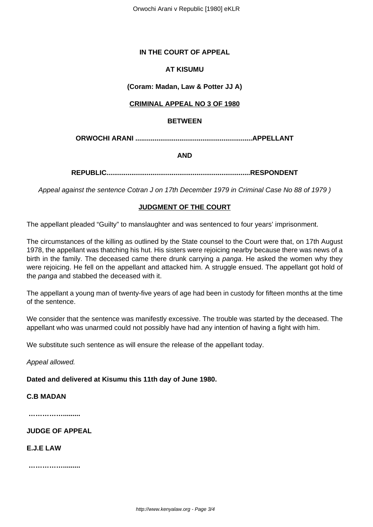### **IN THE COURT OF APPEAL**

## **AT KISUMU**

# **(Coram: Madan, Law & Potter JJ A)**

## **CRIMINAL APPEAL NO 3 OF 1980**

#### **BETWEEN**

**ORWOCHI ARANI .............................................................APPELLANT**

**AND**

**REPUBLIC...........................................................................RESPONDENT**

Appeal against the sentence Cotran J on 17th December 1979 in Criminal Case No 88 of 1979 )

## **JUDGMENT OF THE COURT**

The appellant pleaded "Guilty" to manslaughter and was sentenced to four years' imprisonment.

The circumstances of the killing as outlined by the State counsel to the Court were that, on 17th August 1978, the appellant was thatching his hut. His sisters were rejoicing nearby because there was news of a birth in the family. The deceased came there drunk carrying a panga. He asked the women why they were rejoicing. He fell on the appellant and attacked him. A struggle ensued. The appellant got hold of the *panga* and stabbed the deceased with it.

The appellant a young man of twenty-five years of age had been in custody for fifteen months at the time of the sentence.

We consider that the sentence was manifestly excessive. The trouble was started by the deceased. The appellant who was unarmed could not possibly have had any intention of having a fight with him.

We substitute such sentence as will ensure the release of the appellant today.

Appeal allowed.

**Dated and delivered at Kisumu this 11th day of June 1980.**

# **C.B MADAN**

**…………….........**

**JUDGE OF APPEAL**

**E.J.E LAW** 

**…………….........**